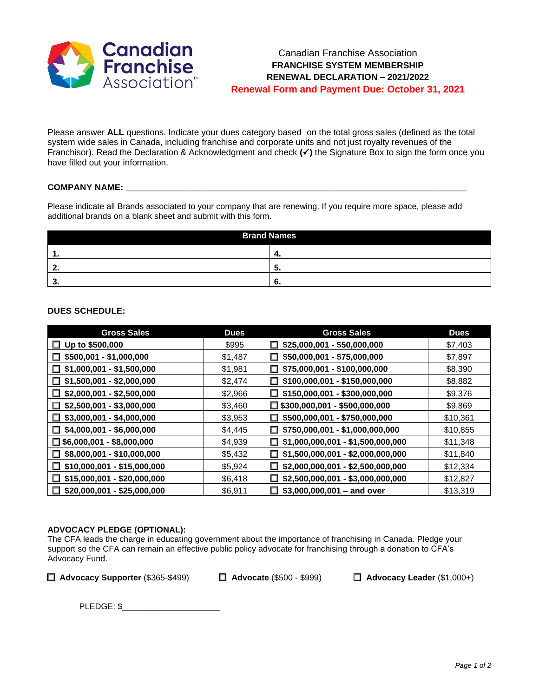

Please answer **ALL** questions. Indicate your dues category based on the total gross sales (defined as the total system wide sales in Canada, including franchise and corporate units and not just royalty revenues of the Franchisor). Read the Declaration & Acknowledgment and check **(**✓**)** the Signature Box to sign the form once you have filled out your information.

## **COMPANY NAME: \_\_\_\_\_\_\_\_\_\_\_\_\_\_\_\_\_\_\_\_\_\_\_\_\_\_\_\_\_\_\_\_\_\_\_\_\_\_\_\_\_\_\_\_\_\_\_\_\_\_\_\_\_\_\_\_\_\_\_\_\_\_\_\_\_\_\_\_\_\_**

Please indicate all Brands associated to your company that are renewing. If you require more space, please add additional brands on a blank sheet and submit with this form.

| <b>Brand Names</b> |    |  |
|--------------------|----|--|
|                    | 4. |  |
|                    | J. |  |
|                    | o. |  |

# **DUES SCHEDULE:**

| <b>Gross Sales</b>                    | <b>Dues</b> | <b>Gross Sales</b>                      | <b>Dues</b> |
|---------------------------------------|-------------|-----------------------------------------|-------------|
| $\Box$ Up to \$500,000                | \$995       | \$25,000,001 - \$50,000,000<br>□        | \$7,403     |
| \$500,001 - \$1,000,000<br>$\Box$     | \$1,487     | \$50,000,001 - \$75,000,000             | \$7,897     |
| $$1,000,001 - $1,500,000$<br>П        | \$1,981     | \$75,000,001 - \$100,000,000<br>П.      | \$8,390     |
| $$1,500,001 - $2,000,000$<br>$\Box$   | \$2,474     | $$100,000,001 - $150,000,000$           | \$8,882     |
| $$2,000,001 - $2,500,000$<br>П        | \$2,966     | $$150,000,001 - $300,000,000$           | \$9,376     |
| $$2,500,001 - $3,000,000$<br>О.       | \$3,460     | $\Box$ \$300,000,001 - \$500,000,000    | \$9,869     |
| $\Box$ \$3,000,001 - \$4,000,000      | \$3,953     | \$500,000,001 - \$750,000,000           | \$10,361    |
| \$4,000,001 - \$6,000,000<br>П        | \$4,445     | \$750,000,001 - \$1,000,000,000<br>ш    | \$10,855    |
| $\Box$ \$6,000,001 - \$8,000,000      | \$4,939     | $$1,000,000,001 - $1,500,000,000$<br>□  | \$11,348    |
| $\Box$ \$8,000,001 - \$10,000,000     | \$5,432     | $$1,500,000,001 - $2,000,000,000$       | \$11,840    |
| $$10,000,001 - $15,000,000$<br>$\Box$ | \$5,924     | \$2,000,000,001 - \$2,500,000,000       | \$12,334    |
| \$15,000,001 - \$20,000,000<br>$\Box$ | \$6,418     | \$2,500,000,001 - \$3,000,000,000<br>П. | \$12,827    |
| \$20,000,001 - \$25,000,000<br>$\Box$ | \$6,911     | $$3,000,000,001 -$ and over             | \$13,319    |

## **ADVOCACY PLEDGE (OPTIONAL):**

The CFA leads the charge in educating government about the importance of franchising in Canada. Pledge your support so the CFA can remain an effective public policy advocate for franchising through a donation to CFA's Advocacy Fund.

❑ **Advocacy Supporter** (\$365-\$499) ❑ **Advocate** (\$500 - \$999) ❑ **Advocacy Leader** (\$1,000+)

PLEDGE: \$\_\_\_\_\_\_\_\_\_\_\_\_\_\_\_\_\_\_\_\_\_